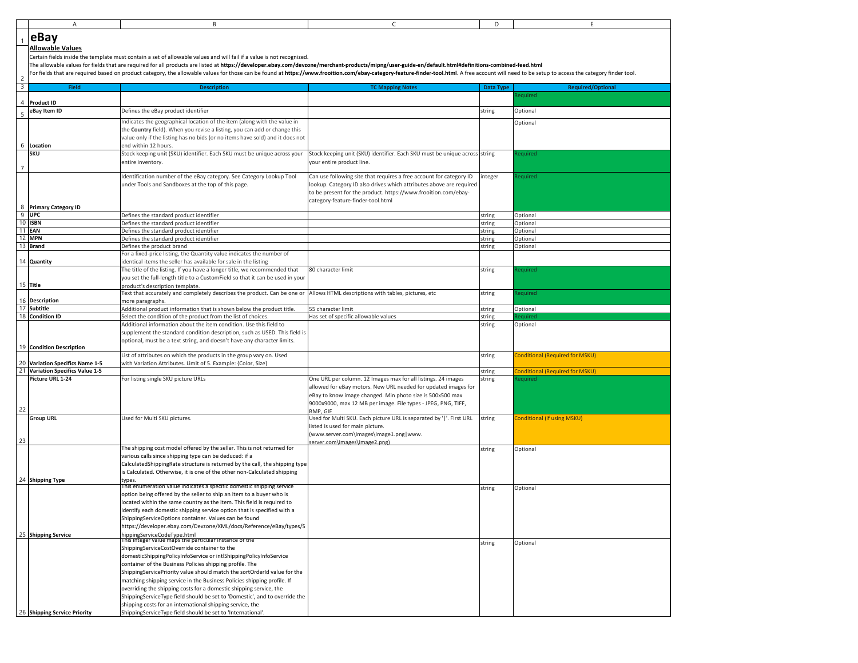|                | $\mathsf{A}$                                                                                                                                                                                                                                                                                                                                                                                                                            | В                                                                                                                                                                                                                                                                                                                                                                                                                                                                                                                                                      | C                                                                                                                                                                                                                                                                                | D         | E                               |  |  |
|----------------|-----------------------------------------------------------------------------------------------------------------------------------------------------------------------------------------------------------------------------------------------------------------------------------------------------------------------------------------------------------------------------------------------------------------------------------------|--------------------------------------------------------------------------------------------------------------------------------------------------------------------------------------------------------------------------------------------------------------------------------------------------------------------------------------------------------------------------------------------------------------------------------------------------------------------------------------------------------------------------------------------------------|----------------------------------------------------------------------------------------------------------------------------------------------------------------------------------------------------------------------------------------------------------------------------------|-----------|---------------------------------|--|--|
|                | eBay<br>Allowable Values                                                                                                                                                                                                                                                                                                                                                                                                                | Certain fields inside the template must contain a set of allowable values and will fail if a value is not recognized.                                                                                                                                                                                                                                                                                                                                                                                                                                  |                                                                                                                                                                                                                                                                                  |           |                                 |  |  |
| $\overline{c}$ | The allowable values for fields that are required for all products are listed at https://developer.ebay.com/devzone/merchant-products/mipng/user-guide-en/default.html#definitions-combined-feed.html<br>For fields that are required based on product category, the allowable values for those can be found at https://www.frooition.com/ebay-category-feature-finder-tool.html. A free account will need to be setup to access the ca |                                                                                                                                                                                                                                                                                                                                                                                                                                                                                                                                                        |                                                                                                                                                                                                                                                                                  |           |                                 |  |  |
| $\overline{3}$ | Field                                                                                                                                                                                                                                                                                                                                                                                                                                   | <b>Description</b>                                                                                                                                                                                                                                                                                                                                                                                                                                                                                                                                     | <b>TC Mapping Notes</b>                                                                                                                                                                                                                                                          | Data Type | <b>Required/Optional</b>        |  |  |
|                |                                                                                                                                                                                                                                                                                                                                                                                                                                         |                                                                                                                                                                                                                                                                                                                                                                                                                                                                                                                                                        |                                                                                                                                                                                                                                                                                  |           | equired                         |  |  |
| 4              | <b>Product ID</b>                                                                                                                                                                                                                                                                                                                                                                                                                       |                                                                                                                                                                                                                                                                                                                                                                                                                                                                                                                                                        |                                                                                                                                                                                                                                                                                  |           |                                 |  |  |
|                | eBay Item ID                                                                                                                                                                                                                                                                                                                                                                                                                            | Defines the eBay product identifier                                                                                                                                                                                                                                                                                                                                                                                                                                                                                                                    |                                                                                                                                                                                                                                                                                  | string    | Optional                        |  |  |
| 6              | Location                                                                                                                                                                                                                                                                                                                                                                                                                                | Indicates the geographical location of the item (along with the value in<br>the Country field). When you revise a listing, you can add or change this<br>value only if the listing has no bids (or no items have sold) and it does not<br>end within 12 hours.                                                                                                                                                                                                                                                                                         |                                                                                                                                                                                                                                                                                  |           | Optional                        |  |  |
| 7              | SKU                                                                                                                                                                                                                                                                                                                                                                                                                                     | Stock keeping unit (SKU) identifier. Each SKU must be unique across your<br>entire inventory.                                                                                                                                                                                                                                                                                                                                                                                                                                                          | Stock keeping unit (SKU) identifier. Each SKU must be unique across string<br>your entire product line.                                                                                                                                                                          |           | equired                         |  |  |
| 8              | <b>Primary Category ID</b>                                                                                                                                                                                                                                                                                                                                                                                                              | Identification number of the eBay category. See Category Lookup Tool<br>under Tools and Sandboxes at the top of this page.                                                                                                                                                                                                                                                                                                                                                                                                                             | Can use following site that requires a free account for category ID<br>lookup. Category ID also drives which attributes above are required<br>to be present for the product. https://www.frooition.com/ebay-<br>category-feature-finder-tool.html                                | nteger    | equired                         |  |  |
| 9              | <b>UPC</b>                                                                                                                                                                                                                                                                                                                                                                                                                              | Defines the standard product identifier                                                                                                                                                                                                                                                                                                                                                                                                                                                                                                                |                                                                                                                                                                                                                                                                                  | string    | Optional                        |  |  |
|                | 10 ISBN                                                                                                                                                                                                                                                                                                                                                                                                                                 | Defines the standard product identifier                                                                                                                                                                                                                                                                                                                                                                                                                                                                                                                |                                                                                                                                                                                                                                                                                  | string    | Optional                        |  |  |
|                | <b>11 EAN</b>                                                                                                                                                                                                                                                                                                                                                                                                                           | Defines the standard product identifier                                                                                                                                                                                                                                                                                                                                                                                                                                                                                                                |                                                                                                                                                                                                                                                                                  | string    | Optional                        |  |  |
| 12             | <b>MPN</b>                                                                                                                                                                                                                                                                                                                                                                                                                              | Defines the standard product identifier                                                                                                                                                                                                                                                                                                                                                                                                                                                                                                                |                                                                                                                                                                                                                                                                                  | string    | Optional                        |  |  |
| 13             | <b>Brand</b>                                                                                                                                                                                                                                                                                                                                                                                                                            | Defines the product brand<br>For a fixed-price listing, the Quantity value indicates the number of                                                                                                                                                                                                                                                                                                                                                                                                                                                     |                                                                                                                                                                                                                                                                                  | string    | Optional                        |  |  |
|                | 14 Quantity                                                                                                                                                                                                                                                                                                                                                                                                                             | dentical items the seller has available for sale in the listing                                                                                                                                                                                                                                                                                                                                                                                                                                                                                        |                                                                                                                                                                                                                                                                                  |           |                                 |  |  |
|                | 15 Title                                                                                                                                                                                                                                                                                                                                                                                                                                | The title of the listing. If you have a longer title, we recommended that<br>you set the full-length title to a CustomField so that it can be used in your<br>product's description template.                                                                                                                                                                                                                                                                                                                                                          | 80 character limit                                                                                                                                                                                                                                                               | string    | equired                         |  |  |
|                |                                                                                                                                                                                                                                                                                                                                                                                                                                         | Text that accurately and completely describes the product. Can be one or                                                                                                                                                                                                                                                                                                                                                                                                                                                                               | Allows HTML descriptions with tables, pictures, etc                                                                                                                                                                                                                              | string    | equired                         |  |  |
|                | 16 Description                                                                                                                                                                                                                                                                                                                                                                                                                          | nore paragraphs.                                                                                                                                                                                                                                                                                                                                                                                                                                                                                                                                       |                                                                                                                                                                                                                                                                                  |           |                                 |  |  |
|                | 17 Subtitle                                                                                                                                                                                                                                                                                                                                                                                                                             | Additional product information that is shown below the product title.                                                                                                                                                                                                                                                                                                                                                                                                                                                                                  | 55 character limit                                                                                                                                                                                                                                                               | string    | Optional                        |  |  |
| 18             | <b>Condition ID</b>                                                                                                                                                                                                                                                                                                                                                                                                                     | Select the condition of the product from the list of choices.                                                                                                                                                                                                                                                                                                                                                                                                                                                                                          | Has set of specific allowable values                                                                                                                                                                                                                                             | string    |                                 |  |  |
| 19             | <b>Condition Description</b>                                                                                                                                                                                                                                                                                                                                                                                                            | Additional information about the item condition. Use this field to<br>supplement the standard condition description, such as USED. This field is<br>optional, must be a text string, and doesn't have any character limits.                                                                                                                                                                                                                                                                                                                            |                                                                                                                                                                                                                                                                                  | string    | Optional                        |  |  |
|                |                                                                                                                                                                                                                                                                                                                                                                                                                                         | List of attributes on which the products in the group vary on. Used                                                                                                                                                                                                                                                                                                                                                                                                                                                                                    |                                                                                                                                                                                                                                                                                  | string    | Conditional (Required for MSKU) |  |  |
| 20             | <b>Variation Specifics Name 1-5</b>                                                                                                                                                                                                                                                                                                                                                                                                     | with Variation Attributes. Limit of 5. Example: {Color, Size}                                                                                                                                                                                                                                                                                                                                                                                                                                                                                          |                                                                                                                                                                                                                                                                                  |           |                                 |  |  |
| 21             | <b>Variation Specifics Value 1-5</b>                                                                                                                                                                                                                                                                                                                                                                                                    |                                                                                                                                                                                                                                                                                                                                                                                                                                                                                                                                                        |                                                                                                                                                                                                                                                                                  | string    | Conditional (Required for MSKU) |  |  |
| 22             | Picture URL 1-24                                                                                                                                                                                                                                                                                                                                                                                                                        | For listing single SKU picture URLs                                                                                                                                                                                                                                                                                                                                                                                                                                                                                                                    | One URL per column. 12 Images max for all listings. 24 images<br>allowed for eBay motors. New URL needed for updated images for<br>eBay to know image changed. Min photo size is 500x500 max<br>9000x9000, max 12 MB per image. File types - JPEG, PNG, TIFF,<br><b>BMP. GIF</b> | string    | equired                         |  |  |
| 23             | <b>Group URL</b>                                                                                                                                                                                                                                                                                                                                                                                                                        | Used for Multi SKU pictures.                                                                                                                                                                                                                                                                                                                                                                                                                                                                                                                           | Used for Multi SKU. Each picture URL is separated by ' '. First URL<br>listed is used for main picture.<br>(www.server.com\images\image1.png www.<br>server.com\images\image2.png)                                                                                               | string    | Conditional (if using MSKU)     |  |  |
|                | 24 Shipping Type                                                                                                                                                                                                                                                                                                                                                                                                                        | The shipping cost model offered by the seller. This is not returned for<br>various calls since shipping type can be deduced: if a<br>CalculatedShippingRate structure is returned by the call, the shipping type<br>is Calculated. Otherwise, it is one of the other non-Calculated shipping<br>vpes:                                                                                                                                                                                                                                                  |                                                                                                                                                                                                                                                                                  | string    | Optional                        |  |  |
|                |                                                                                                                                                                                                                                                                                                                                                                                                                                         | This enumeration value indicates a specific domestic shipping service<br>option being offered by the seller to ship an item to a buyer who is<br>located within the same country as the item. This field is required to<br>identify each domestic shipping service option that is specified with a<br>ShippingServiceOptions container. Values can be found                                                                                                                                                                                            |                                                                                                                                                                                                                                                                                  | string    | Optional                        |  |  |
|                | 25 Shipping Service                                                                                                                                                                                                                                                                                                                                                                                                                     | https://developer.ebay.com/Devzone/XML/docs/Reference/eBay/types/S<br>hippingServiceCodeType.html<br>This integer value maps the particular instance of the                                                                                                                                                                                                                                                                                                                                                                                            |                                                                                                                                                                                                                                                                                  |           |                                 |  |  |
|                |                                                                                                                                                                                                                                                                                                                                                                                                                                         | ShippingServiceCostOverride container to the<br>domesticShippingPolicyInfoService or intlShippingPolicyInfoService<br>container of the Business Policies shipping profile. The<br>ShippingServicePriority value should match the sortOrderId value for the<br>matching shipping service in the Business Policies shipping profile. If<br>overriding the shipping costs for a domestic shipping service, the<br>ShippingServiceType field should be set to 'Domestic', and to override the<br>shipping costs for an international shipping service, the |                                                                                                                                                                                                                                                                                  | string    | Optional                        |  |  |
|                | 26 Shipping Service Priority                                                                                                                                                                                                                                                                                                                                                                                                            | ShippingServiceType field should be set to 'International'.                                                                                                                                                                                                                                                                                                                                                                                                                                                                                            |                                                                                                                                                                                                                                                                                  |           |                                 |  |  |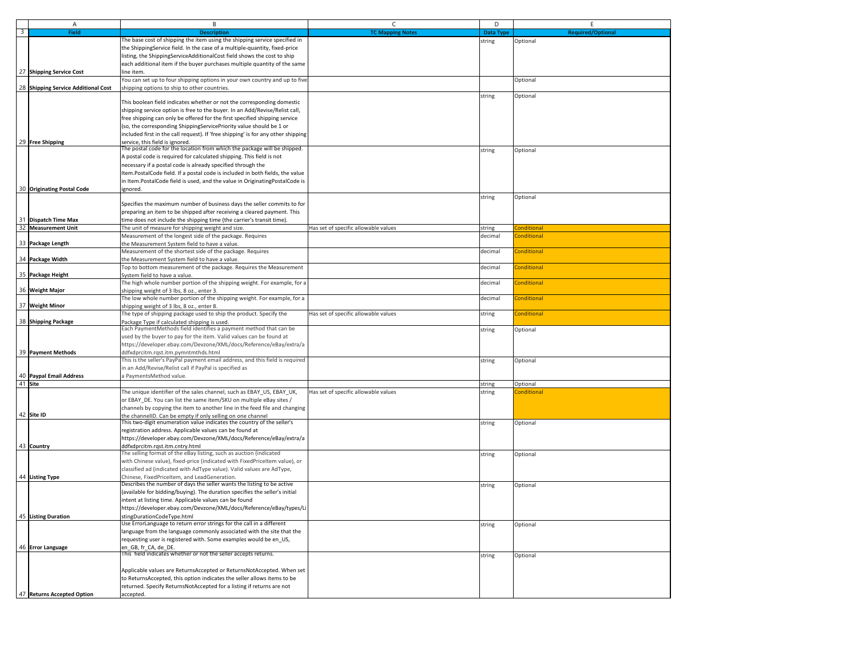|   | Α                                   | B                                                                                                                      | C                                    | D                | E                        |
|---|-------------------------------------|------------------------------------------------------------------------------------------------------------------------|--------------------------------------|------------------|--------------------------|
| 3 | <b>Field</b>                        | <b>Description</b>                                                                                                     | <b>TC Mapping Notes</b>              | <b>Data Type</b> | <b>Required/Optional</b> |
|   |                                     | The base cost of shipping the item using the shipping service specified in                                             |                                      | string           | Optional                 |
|   |                                     | the ShippingService field. In the case of a multiple-quantity, fixed-price                                             |                                      |                  |                          |
|   |                                     | listing, the ShippingServiceAdditionalCost field shows the cost to ship                                                |                                      |                  |                          |
|   |                                     | each additional item if the buyer purchases multiple quantity of the same                                              |                                      |                  |                          |
|   | 27 Shipping Service Cost            | line item.                                                                                                             |                                      |                  |                          |
|   |                                     | You can set up to four shipping options in your own country and up to five                                             |                                      |                  | Optional                 |
|   | 28 Shipping Service Additional Cost | shipping options to ship to other countries.                                                                           |                                      |                  |                          |
|   |                                     |                                                                                                                        |                                      | string           | Optional                 |
|   |                                     | This boolean field indicates whether or not the corresponding domestic                                                 |                                      |                  |                          |
|   |                                     | shipping service option is free to the buyer. In an Add/Revise/Relist call,                                            |                                      |                  |                          |
|   |                                     | free shipping can only be offered for the first specified shipping service                                             |                                      |                  |                          |
|   |                                     | (so, the corresponding ShippingServicePriority value should be 1 or                                                    |                                      |                  |                          |
|   |                                     | included first in the call request). If 'free shipping' is for any other shipping                                      |                                      |                  |                          |
|   | 29 Free Shipping                    | service, this field is ignored.                                                                                        |                                      |                  |                          |
|   |                                     | The postal code for the location from which the package will be shipped.                                               |                                      | string           | Optional                 |
|   |                                     | A postal code is required for calculated shipping. This field is not                                                   |                                      |                  |                          |
|   |                                     | necessary if a postal code is already specified through the                                                            |                                      |                  |                          |
|   |                                     | Item.PostalCode field. If a postal code is included in both fields, the value                                          |                                      |                  |                          |
|   |                                     | in Item.PostalCode field is used, and the value in OriginatingPostalCode is                                            |                                      |                  |                          |
|   | 30 Originating Postal Code          | ignored.                                                                                                               |                                      |                  |                          |
|   |                                     |                                                                                                                        |                                      | string           | Optional                 |
|   |                                     | Specifies the maximum number of business days the seller commits to for                                                |                                      |                  |                          |
|   |                                     | preparing an item to be shipped after receiving a cleared payment. This                                                |                                      |                  |                          |
|   | 31 Dispatch Time Max                | time does not include the shipping time (the carrier's transit time)                                                   |                                      |                  |                          |
|   | 32 Measurement Unit                 | The unit of measure for shipping weight and size.                                                                      | Has set of specific allowable values | string           | <b>Conditional</b>       |
|   |                                     | Measurement of the longest side of the package. Requires                                                               |                                      | decimal          | <b>conditional</b>       |
|   | 33 Package Length                   | the Measurement System field to have a value.                                                                          |                                      |                  |                          |
|   |                                     | Measurement of the shortest side of the package. Requires                                                              |                                      | decimal          | <b>Conditional</b>       |
|   | 34 Package Width                    | the Measurement System field to have a value.                                                                          |                                      |                  |                          |
|   |                                     | Top to bottom measurement of the package. Requires the Measurement                                                     |                                      | decimal          | <b>Conditional</b>       |
|   | 35 Package Height                   | System field to have a value.                                                                                          |                                      |                  |                          |
|   |                                     | The high whole number portion of the shipping weight. For example, for a                                               |                                      | decimal          | <b>Conditional</b>       |
|   | 36 Weight Major                     | shipping weight of 3 lbs, 8 oz., enter 3.                                                                              |                                      |                  |                          |
|   |                                     | The low whole number portion of the shipping weight. For example, for a                                                |                                      | decimal          | <b>Conditional</b>       |
|   | 37 Weight Minor                     | shipping weight of 3 lbs, 8 oz., enter 8.                                                                              |                                      |                  |                          |
|   |                                     | The type of shipping package used to ship the product. Specify the                                                     | Has set of specific allowable values | string           | <b>Conditional</b>       |
|   | 38 Shipping Package                 | Package Type if calculated shipping is used.                                                                           |                                      |                  |                          |
|   |                                     | Each PaymentMethods field identifies a payment method that can be                                                      |                                      | string           | Optional                 |
|   |                                     | used by the buyer to pay for the item. Valid values can be found at                                                    |                                      |                  |                          |
|   |                                     | https://developer.ebay.com/Devzone/XML/docs/Reference/eBay/extra/a                                                     |                                      |                  |                          |
|   | 39 Payment Methods                  | ddfxdprcitm.rqst.itm.pymntmthds.html                                                                                   |                                      |                  |                          |
|   |                                     | This is the seller's PayPal payment email address, and this field is required                                          |                                      | string           | Optional                 |
|   |                                     | in an Add/Revise/Relist call if PayPal is specified as                                                                 |                                      |                  |                          |
|   | 40 Paypal Email Address             | a PaymentsMethod value.                                                                                                |                                      |                  |                          |
|   | 41 Site                             |                                                                                                                        |                                      | string           | Optional                 |
|   |                                     | The unique identifier of the sales channel, such as EBAY_US, EBAY_UK,                                                  | Has set of specific allowable values | string           | <b>Conditional</b>       |
|   |                                     | or EBAY_DE. You can list the same item/SKU on multiple eBay sites /                                                    |                                      |                  |                          |
|   |                                     | channels by copying the item to another line in the feed file and changing                                             |                                      |                  |                          |
|   | 42 Site ID                          | the channelID. Can be empty if only selling on one channel                                                             |                                      |                  |                          |
|   |                                     | This two-digit enumeration value indicates the country of the seller's                                                 |                                      | string           | Optional                 |
|   |                                     | registration address. Applicable values can be found at                                                                |                                      |                  |                          |
|   |                                     | https://developer.ebay.com/Devzone/XML/docs/Reference/eBay/extra/a                                                     |                                      |                  |                          |
|   | 43 Country                          | ddfxdprcitm.rqst.itm.cntry.html<br>The selling format of the eBay listing, such as auction (indicated                  |                                      |                  |                          |
|   |                                     |                                                                                                                        |                                      | string           | Optional                 |
|   |                                     | with Chinese value), fixed-price (indicated with FixedPriceItem value), or                                             |                                      |                  |                          |
|   |                                     | classified ad (indicated with AdType value). Valid values are AdType,                                                  |                                      |                  |                          |
|   | 44 Listing Type                     | Chinese, FixedPriceItem, and LeadGeneration.<br>Describes the number of days the seller wants the listing to be active |                                      |                  |                          |
|   |                                     | (available for bidding/buying). The duration specifies the seller's initial                                            |                                      | string           | Optional                 |
|   |                                     |                                                                                                                        |                                      |                  |                          |
|   |                                     | intent at listing time. Applicable values can be found                                                                 |                                      |                  |                          |
|   | 45 Listing Duration                 | https://developer.ebay.com/Devzone/XML/docs/Reference/eBay/types/l                                                     |                                      |                  |                          |
|   |                                     | stingDurationCodeType.html<br>Use ErrorLanguage to return error strings for the call in a different                    |                                      |                  |                          |
|   |                                     | language from the language commonly associated with the site that the                                                  |                                      | string           | Optional                 |
|   |                                     | requesting user is registered with. Some examples would be en_US,                                                      |                                      |                  |                          |
|   |                                     |                                                                                                                        |                                      |                  |                          |
|   | 46 Error Language                   | en GB, fr CA, de DE.<br>This field indicates whether or not the seller accepts returns.                                |                                      |                  |                          |
|   |                                     |                                                                                                                        |                                      | string           | Optional                 |
|   |                                     | Applicable values are ReturnsAccepted or ReturnsNotAccepted. When set                                                  |                                      |                  |                          |
|   |                                     | to ReturnsAccepted, this option indicates the seller allows items to be                                                |                                      |                  |                          |
|   |                                     | returned. Specify ReturnsNotAccepted for a listing if returns are not                                                  |                                      |                  |                          |
|   | 47 Returns Accepted Option          | accepted.                                                                                                              |                                      |                  |                          |
|   |                                     |                                                                                                                        |                                      |                  |                          |